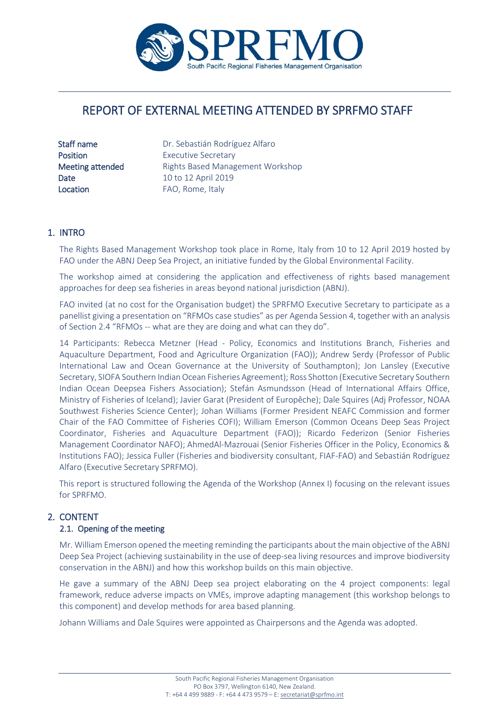

# REPORT OF EXTERNAL MEETING ATTENDED BY SPRFMO STAFF

Location **FAO, Rome, Italy** 

Staff name **Dr.** Sebastián Rodríguez Alfaro Position **Executive Secretary** Meeting attended Rights Based Management Workshop **Date** 10 to 12 April 2019

#### 1. INTRO

The Rights Based Management Workshop took place in Rome, Italy from 10 to 12 April 2019 hosted by FAO under the ABNJ Deep Sea Project, an initiative funded by the Global Environmental Facility.

The workshop aimed at considering the application and effectiveness of rights based management approaches for deep sea fisheries in areas beyond national jurisdiction (ABNJ).

FAO invited (at no cost for the Organisation budget) the SPRFMO Executive Secretary to participate as a panellist giving a presentation on "RFMOs case studies" as per Agenda Session 4, together with an analysis of Section 2.4 "RFMOs -- what are they are doing and what can they do".

14 Participants: Rebecca Metzner (Head - Policy, Economics and Institutions Branch, Fisheries and Aquaculture Department, Food and Agriculture Organization (FAO)); Andrew Serdy (Professor of Public International Law and Ocean Governance at the University of Southampton); Jon Lansley (Executive Secretary, SIOFA Southern Indian Ocean Fisheries Agreement); Ross Shotton (Executive Secretary Southern Indian Ocean Deepsea Fishers Association); Stefán Asmundsson (Head of International Affairs Office, Ministry of Fisheries of Iceland); Javier Garat (President of Europêche); Dale Squires (Adj Professor, NOAA Southwest Fisheries Science Center); Johan Williams (Former President NEAFC Commission and former Chair of the FAO Committee of Fisheries COFI); William Emerson (Common Oceans Deep Seas Project Coordinator, Fisheries and Aquaculture Department (FAO)); Ricardo Federizon (Senior Fisheries Management Coordinator NAFO); AhmedAl-Mazrouai (Senior Fisheries Officer in the Policy, Economics & Institutions FAO); Jessica Fuller (Fisheries and biodiversity consultant, FIAF-FAO) and Sebastián Rodríguez Alfaro (Executive Secretary SPRFMO).

This report is structured following the Agenda of the Workshop (Annex I) focusing on the relevant issues for SPRFMO.

#### 2. CONTENT

#### 2.1. Opening of the meeting

Mr. William Emerson opened the meeting reminding the participants about the main objective of the ABNJ Deep Sea Project (achieving sustainability in the use of deep-sea living resources and improve biodiversity conservation in the ABNJ) and how this workshop builds on this main objective.

He gave a summary of the ABNJ Deep sea project elaborating on the 4 project components: legal framework, reduce adverse impacts on VMEs, improve adapting management (this workshop belongs to this component) and develop methods for area based planning.

Johann Williams and Dale Squires were appointed as Chairpersons and the Agenda was adopted.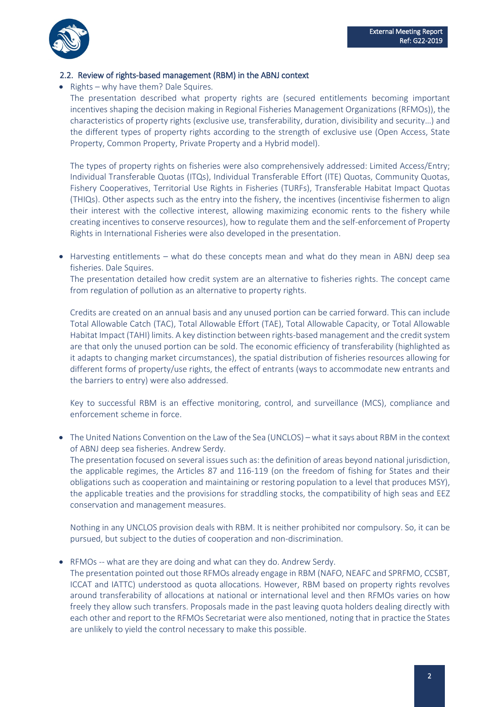

#### 2.2. Review of rights-based management (RBM) in the ABNJ context

• Rights – why have them? Dale Squires.

The presentation described what property rights are (secured entitlements becoming important incentives shaping the decision making in Regional Fisheries Management Organizations (RFMOs)), the characteristics of property rights (exclusive use, transferability, duration, divisibility and security…) and the different types of property rights according to the strength of exclusive use (Open Access, State Property, Common Property, Private Property and a Hybrid model).

The types of property rights on fisheries were also comprehensively addressed: Limited Access/Entry; Individual Transferable Quotas (ITQs), Individual Transferable Effort (ITE) Quotas, Community Quotas, Fishery Cooperatives, Territorial Use Rights in Fisheries (TURFs), Transferable Habitat Impact Quotas (THIQs). Other aspects such as the entry into the fishery, the incentives (incentivise fishermen to align their interest with the collective interest, allowing maximizing economic rents to the fishery while creating incentives to conserve resources), how to regulate them and the self-enforcement of Property Rights in International Fisheries were also developed in the presentation.

• Harvesting entitlements – what do these concepts mean and what do they mean in ABNJ deep sea fisheries. Dale Squires.

The presentation detailed how credit system are an alternative to fisheries rights. The concept came from regulation of pollution as an alternative to property rights.

Credits are created on an annual basis and any unused portion can be carried forward. This can include Total Allowable Catch (TAC), Total Allowable Effort (TAE), Total Allowable Capacity, or Total Allowable Habitat Impact (TAHI) limits. A key distinction between rights-based management and the credit system are that only the unused portion can be sold. The economic efficiency of transferability (highlighted as it adapts to changing market circumstances), the spatial distribution of fisheries resources allowing for different forms of property/use rights, the effect of entrants (ways to accommodate new entrants and the barriers to entry) were also addressed.

Key to successful RBM is an effective monitoring, control, and surveillance (MCS), compliance and enforcement scheme in force.

• The United Nations Convention on the Law of the Sea (UNCLOS) – what it says about RBM in the context of ABNJ deep sea fisheries. Andrew Serdy.

The presentation focused on several issues such as: the definition of areas beyond national jurisdiction, the applicable regimes, the Articles 87 and 116-119 (on the freedom of fishing for States and their obligations such as cooperation and maintaining or restoring population to a level that produces MSY), the applicable treaties and the provisions for straddling stocks, the compatibility of high seas and EEZ conservation and management measures.

Nothing in any UNCLOS provision deals with RBM. It is neither prohibited nor compulsory. So, it can be pursued, but subject to the duties of cooperation and non-discrimination.

• RFMOs -- what are they are doing and what can they do. Andrew Serdy.

The presentation pointed out those RFMOs already engage in RBM (NAFO, NEAFC and SPRFMO, CCSBT, ICCAT and IATTC) understood as quota allocations. However, RBM based on property rights revolves around transferability of allocations at national or international level and then RFMOs varies on how freely they allow such transfers. Proposals made in the past leaving quota holders dealing directly with each other and report to the RFMOs Secretariat were also mentioned, noting that in practice the States are unlikely to yield the control necessary to make this possible.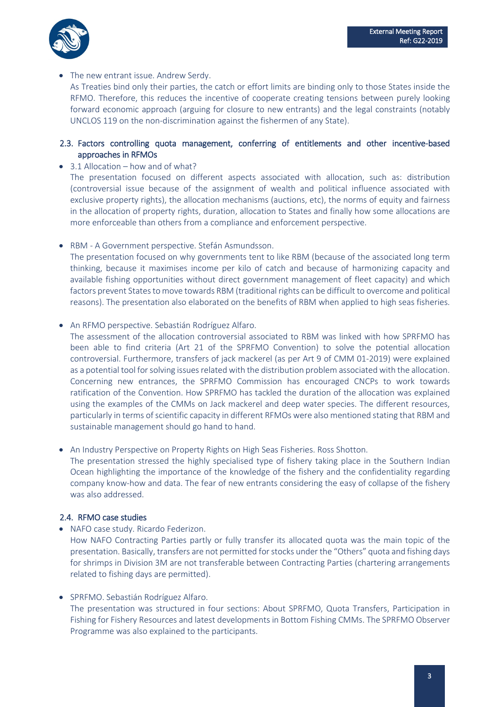

The new entrant issue. Andrew Serdy.

As Treaties bind only their parties, the catch or effort limits are binding only to those States inside the RFMO. Therefore, this reduces the incentive of cooperate creating tensions between purely looking forward economic approach (arguing for closure to new entrants) and the legal constraints (notably UNCLOS 119 on the non-discrimination against the fishermen of any State).

#### 2.3. Factors controlling quota management, conferring of entitlements and other incentive-based approaches in RFMOs

• 3.1 Allocation – how and of what?

The presentation focused on different aspects associated with allocation, such as: distribution (controversial issue because of the assignment of wealth and political influence associated with exclusive property rights), the allocation mechanisms (auctions, etc), the norms of equity and fairness in the allocation of property rights, duration, allocation to States and finally how some allocations are more enforceable than others from a compliance and enforcement perspective.

• RBM - A Government perspective. Stefán Asmundsson.

The presentation focused on why governments tent to like RBM (because of the associated long term thinking, because it maximises income per kilo of catch and because of harmonizing capacity and available fishing opportunities without direct government management of fleet capacity) and which factors prevent States to move towards RBM (traditional rights can be difficult to overcome and political reasons). The presentation also elaborated on the benefits of RBM when applied to high seas fisheries.

• An RFMO perspective. Sebastián Rodríguez Alfaro.

The assessment of the allocation controversial associated to RBM was linked with how SPRFMO has been able to find criteria (Art 21 of the SPRFMO Convention) to solve the potential allocation controversial. Furthermore, transfers of jack mackerel (as per Art 9 of CMM 01-2019) were explained as a potential tool for solving issues related with the distribution problem associated with the allocation. Concerning new entrances, the SPRFMO Commission has encouraged CNCPs to work towards ratification of the Convention. How SPRFMO has tackled the duration of the allocation was explained using the examples of the CMMs on Jack mackerel and deep water species. The different resources, particularly in terms of scientific capacity in different RFMOs were also mentioned stating that RBM and sustainable management should go hand to hand.

• An Industry Perspective on Property Rights on High Seas Fisheries. Ross Shotton.

The presentation stressed the highly specialised type of fishery taking place in the Southern Indian Ocean highlighting the importance of the knowledge of the fishery and the confidentiality regarding company know-how and data. The fear of new entrants considering the easy of collapse of the fishery was also addressed.

#### 2.4. RFMO case studies

• NAFO case study. Ricardo Federizon.

How NAFO Contracting Parties partly or fully transfer its allocated quota was the main topic of the presentation. Basically, transfers are not permitted for stocks under the "Others" quota and fishing days for shrimps in Division 3M are not transferable between Contracting Parties (chartering arrangements related to fishing days are permitted).

• SPRFMO. Sebastián Rodríguez Alfaro.

The presentation was structured in four sections: About SPRFMO, Quota Transfers, Participation in Fishing for Fishery Resources and latest developments in Bottom Fishing CMMs. The SPRFMO Observer Programme was also explained to the participants.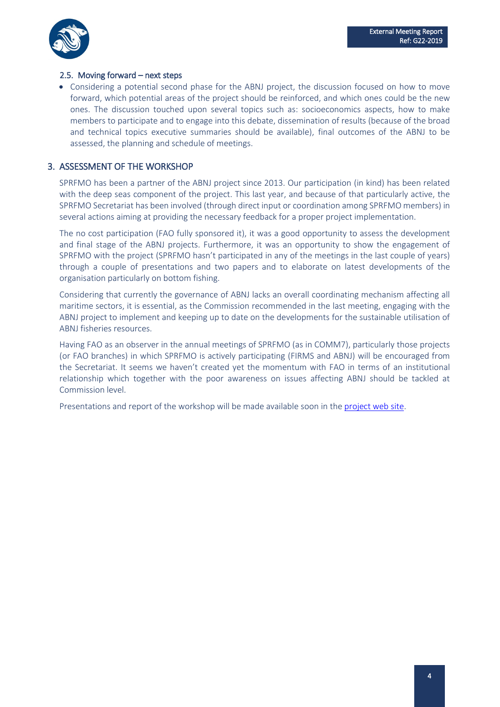

#### 2.5. Moving forward – next steps

• Considering a potential second phase for the ABNJ project, the discussion focused on how to move forward, which potential areas of the project should be reinforced, and which ones could be the new ones. The discussion touched upon several topics such as: socioeconomics aspects, how to make members to participate and to engage into this debate, dissemination of results (because of the broad and technical topics executive summaries should be available), final outcomes of the ABNJ to be assessed, the planning and schedule of meetings.

### 3. ASSESSMENT OF THE WORKSHOP

SPRFMO has been a partner of the ABNJ project since 2013. Our participation (in kind) has been related with the deep seas component of the project. This last year, and because of that particularly active, the SPRFMO Secretariat has been involved (through direct input or coordination among SPRFMO members) in several actions aiming at providing the necessary feedback for a proper project implementation.

The no cost participation (FAO fully sponsored it), it was a good opportunity to assess the development and final stage of the ABNJ projects. Furthermore, it was an opportunity to show the engagement of SPRFMO with the project (SPRFMO hasn't participated in any of the meetings in the last couple of years) through a couple of presentations and two papers and to elaborate on latest developments of the organisation particularly on bottom fishing.

Considering that currently the governance of ABNJ lacks an overall coordinating mechanism affecting all maritime sectors, it is essential, as the Commission recommended in the last meeting, engaging with the ABNJ project to implement and keeping up to date on the developments for the sustainable utilisation of ABNJ fisheries resources.

Having FAO as an observer in the annual meetings of SPRFMO (as in COMM7), particularly those projects (or FAO branches) in which SPRFMO is actively participating (FIRMS and ABNJ) will be encouraged from the Secretariat. It seems we haven't created yet the momentum with FAO in terms of an institutional relationship which together with the poor awareness on issues affecting ABNJ should be tackled at Commission level.

Presentations and report of the workshop will be made available soon in the [project web site.](http://www.fao.org/in-action/commonoceans/projects/deep-seas-biodiversity/en/)